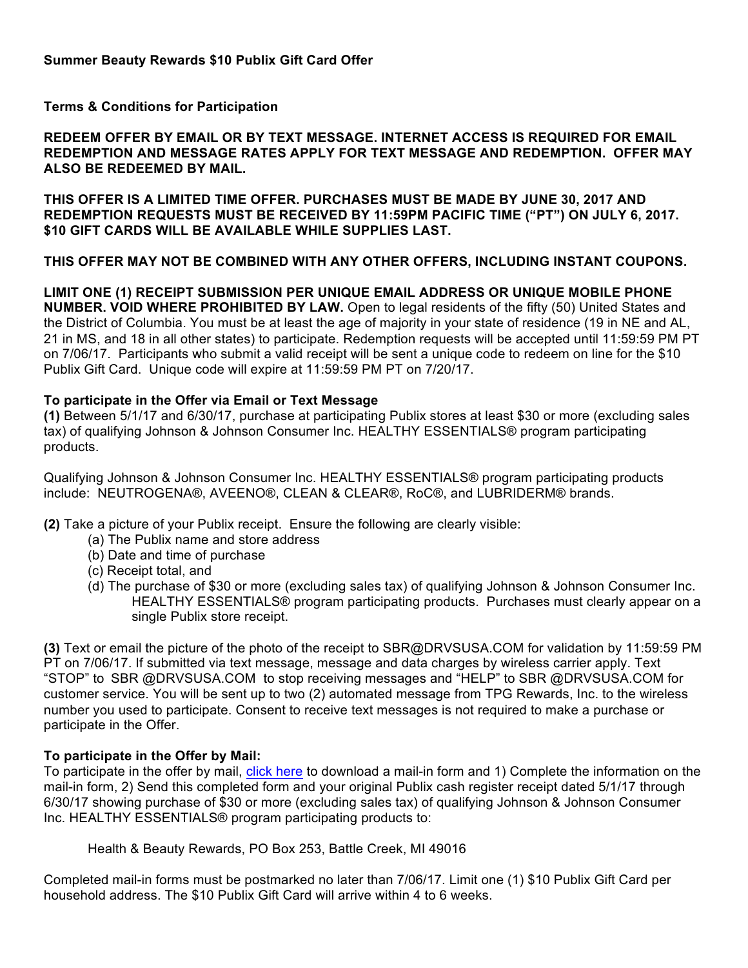**Terms & Conditions for Participation**

**REDEEM OFFER BY EMAIL OR BY TEXT MESSAGE. INTERNET ACCESS IS REQUIRED FOR EMAIL REDEMPTION AND MESSAGE RATES APPLY FOR TEXT MESSAGE AND REDEMPTION. OFFER MAY ALSO BE REDEEMED BY MAIL.**

**THIS OFFER IS A LIMITED TIME OFFER. PURCHASES MUST BE MADE BY JUNE 30, 2017 AND REDEMPTION REQUESTS MUST BE RECEIVED BY 11:59PM PACIFIC TIME ("PT") ON JULY 6, 2017. \$10 GIFT CARDS WILL BE AVAILABLE WHILE SUPPLIES LAST.**

**THIS OFFER MAY NOT BE COMBINED WITH ANY OTHER OFFERS, INCLUDING INSTANT COUPONS.**

**LIMIT ONE (1) RECEIPT SUBMISSION PER UNIQUE EMAIL ADDRESS OR UNIQUE MOBILE PHONE NUMBER. VOID WHERE PROHIBITED BY LAW.** Open to legal residents of the fifty (50) United States and the District of Columbia. You must be at least the age of majority in your state of residence (19 in NE and AL, 21 in MS, and 18 in all other states) to participate. Redemption requests will be accepted until 11:59:59 PM PT on 7/06/17. Participants who submit a valid receipt will be sent a unique code to redeem on line for the \$10 Publix Gift Card. Unique code will expire at 11:59:59 PM PT on 7/20/17.

## **To participate in the Offer via Email or Text Message**

**(1)** Between 5/1/17 and 6/30/17, purchase at participating Publix stores at least \$30 or more (excluding sales tax) of qualifying Johnson & Johnson Consumer Inc. HEALTHY ESSENTIALS® program participating products.

Qualifying Johnson & Johnson Consumer Inc. HEALTHY ESSENTIALS® program participating products include: NEUTROGENA®, AVEENO®, CLEAN & CLEAR®, RoC®, and LUBRIDERM® brands.

**(2)** Take a picture of your Publix receipt. Ensure the following are clearly visible:

- (a) The Publix name and store address
- (b) Date and time of purchase
- (c) Receipt total, and
- (d) The purchase of \$30 or more (excluding sales tax) of qualifying Johnson & Johnson Consumer Inc. HEALTHY ESSENTIALS® program participating products. Purchases must clearly appear on a single Publix store receipt.

**(3)** Text or email the picture of the photo of the receipt to SBR@DRVSUSA.COM for validation by 11:59:59 PM PT on 7/06/17. If submitted via text message, message and data charges by wireless carrier apply. Text "STOP" to SBR @DRVSUSA.COM to stop receiving messages and "HELP" to SBR @DRVSUSA.COM for customer service. You will be sent up to two (2) automated message from TPG Rewards, Inc. to the wireless number you used to participate. Consent to receive text messages is not required to make a purchase or participate in the Offer.

## **To participate in the Offer by Mail:**

To participate in the offer by mail, click here to download a mail-in form and 1) Complete the information on the mail-in form, 2) Send this completed form and your original Publix cash register receipt dated 5/1/17 through 6/30/17 showing purchase of \$30 or more (excluding sales tax) of qualifying Johnson & Johnson Consumer Inc. HEALTHY ESSENTIALS® program participating products to:

Health & Beauty Rewards, PO Box 253, Battle Creek, MI 49016

Completed mail-in forms must be postmarked no later than 7/06/17. Limit one (1) \$10 Publix Gift Card per household address. The \$10 Publix Gift Card will arrive within 4 to 6 weeks.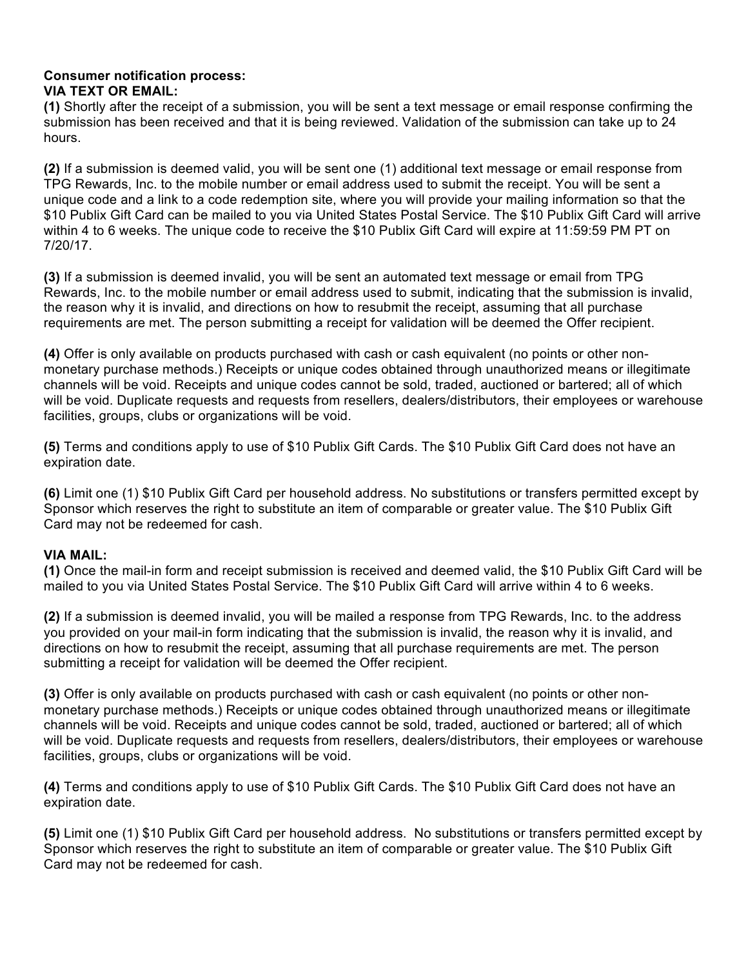## **Consumer notification process: VIA TEXT OR EMAIL:**

**(1)** Shortly after the receipt of a submission, you will be sent a text message or email response confirming the submission has been received and that it is being reviewed. Validation of the submission can take up to 24 hours.

**(2)** If a submission is deemed valid, you will be sent one (1) additional text message or email response from TPG Rewards, Inc. to the mobile number or email address used to submit the receipt. You will be sent a unique code and a link to a code redemption site, where you will provide your mailing information so that the \$10 Publix Gift Card can be mailed to you via United States Postal Service. The \$10 Publix Gift Card will arrive within 4 to 6 weeks. The unique code to receive the \$10 Publix Gift Card will expire at 11:59:59 PM PT on 7/20/17.

**(3)** If a submission is deemed invalid, you will be sent an automated text message or email from TPG Rewards, Inc. to the mobile number or email address used to submit, indicating that the submission is invalid, the reason why it is invalid, and directions on how to resubmit the receipt, assuming that all purchase requirements are met. The person submitting a receipt for validation will be deemed the Offer recipient.

**(4)** Offer is only available on products purchased with cash or cash equivalent (no points or other nonmonetary purchase methods.) Receipts or unique codes obtained through unauthorized means or illegitimate channels will be void. Receipts and unique codes cannot be sold, traded, auctioned or bartered; all of which will be void. Duplicate requests and requests from resellers, dealers/distributors, their employees or warehouse facilities, groups, clubs or organizations will be void.

**(5)** Terms and conditions apply to use of \$10 Publix Gift Cards. The \$10 Publix Gift Card does not have an expiration date.

**(6)** Limit one (1) \$10 Publix Gift Card per household address. No substitutions or transfers permitted except by Sponsor which reserves the right to substitute an item of comparable or greater value. The \$10 Publix Gift Card may not be redeemed for cash.

## **VIA MAIL:**

**(1)** Once the mail-in form and receipt submission is received and deemed valid, the \$10 Publix Gift Card will be mailed to you via United States Postal Service. The \$10 Publix Gift Card will arrive within 4 to 6 weeks.

**(2)** If a submission is deemed invalid, you will be mailed a response from TPG Rewards, Inc. to the address you provided on your mail-in form indicating that the submission is invalid, the reason why it is invalid, and directions on how to resubmit the receipt, assuming that all purchase requirements are met. The person submitting a receipt for validation will be deemed the Offer recipient.

**(3)** Offer is only available on products purchased with cash or cash equivalent (no points or other nonmonetary purchase methods.) Receipts or unique codes obtained through unauthorized means or illegitimate channels will be void. Receipts and unique codes cannot be sold, traded, auctioned or bartered; all of which will be void. Duplicate requests and requests from resellers, dealers/distributors, their employees or warehouse facilities, groups, clubs or organizations will be void.

**(4)** Terms and conditions apply to use of \$10 Publix Gift Cards. The \$10 Publix Gift Card does not have an expiration date.

**(5)** Limit one (1) \$10 Publix Gift Card per household address. No substitutions or transfers permitted except by Sponsor which reserves the right to substitute an item of comparable or greater value. The \$10 Publix Gift Card may not be redeemed for cash.